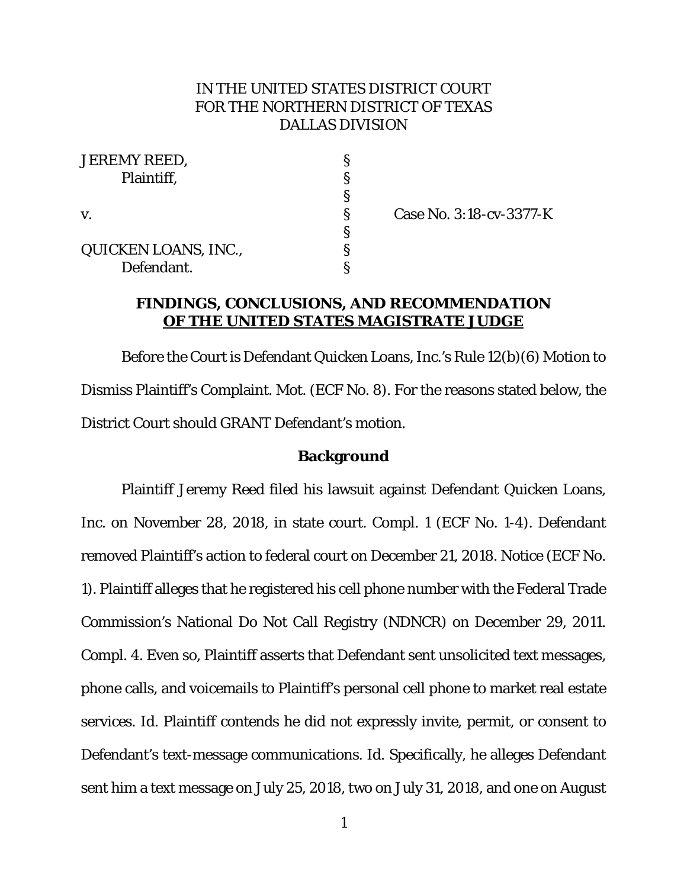# IN THE UNITED STATES DISTRICT COURT FOR THE NORTHERN DISTRICT OF TEXAS DALLAS DIVISION

| <b>JEREMY REED,</b>  |   |
|----------------------|---|
| Plaintiff,           | ş |
|                      | S |
| $\mathbf{V}_{\cdot}$ | ş |
|                      | Ş |
| QUICKEN LOANS, INC., | S |
| Defendant.           |   |

Case No. 3:18-cv-3377-K

## **FINDINGS, CONCLUSIONS, AND RECOMMENDATION OF THE UNITED STATES MAGISTRATE JUDGE**

Before the Court is Defendant Quicken Loans, Inc.'s Rule 12(b)(6) Motion to Dismiss Plaintiff's Complaint. Mot. (ECF No. 8). For the reasons stated below, the District Court should GRANT Defendant's motion.

#### **Background**

Plaintiff Jeremy Reed filed his lawsuit against Defendant Quicken Loans, Inc. on November 28, 2018, in state court. Compl. 1 (ECF No. 1-4). Defendant removed Plaintiff's action to federal court on December 21, 2018. Notice (ECF No. 1). Plaintiff alleges that he registered his cell phone number with the Federal Trade Commission's National Do Not Call Registry (NDNCR) on December 29, 2011. Compl. 4. Even so, Plaintiff asserts that Defendant sent unsolicited text messages, phone calls, and voicemails to Plaintiff's personal cell phone to market real estate services. *Id*. Plaintiff contends he did not expressly invite, permit, or consent to Defendant's text-message communications. *Id*. Specifically, he alleges Defendant sent him a text message on July 25, 2018, two on July 31, 2018, and one on August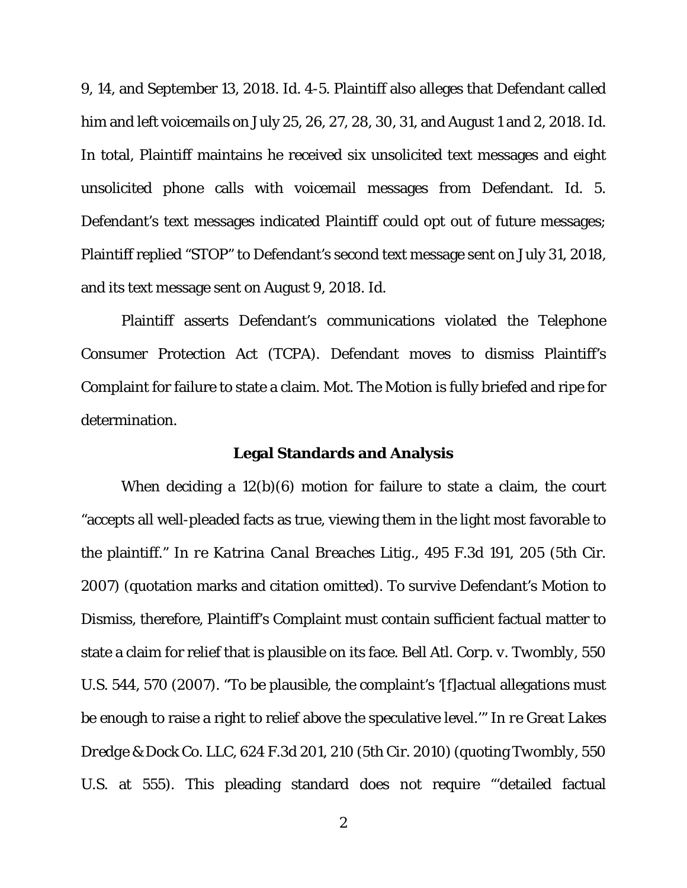9, 14, and September 13, 2018. *Id*. 4-5. Plaintiff also alleges that Defendant called him and left voicemails on July 25, 26, 27, 28, 30, 31, and August 1 and 2, 2018. *Id*. In total, Plaintiff maintains he received six unsolicited text messages and eight unsolicited phone calls with voicemail messages from Defendant. *Id*. 5. Defendant's text messages indicated Plaintiff could opt out of future messages; Plaintiff replied "STOP" to Defendant's second text message sent on July 31, 2018, and its text message sent on August 9, 2018. *Id*.

Plaintiff asserts Defendant's communications violated the Telephone Consumer Protection Act (TCPA). Defendant moves to dismiss Plaintiff's Complaint for failure to state a claim. Mot. The Motion is fully briefed and ripe for determination.

### **Legal Standards and Analysis**

When deciding a 12(b)(6) motion for failure to state a claim, the court "accepts all well-pleaded facts as true, viewing them in the light most favorable to the plaintiff." *In re Katrina Canal Breaches Litig.,* 495 F.3d 191, 205 (5th Cir. 2007) (quotation marks and citation omitted). To survive Defendant's Motion to Dismiss, therefore, Plaintiff's Complaint must contain sufficient factual matter to state a claim for relief that is plausible on its face. *Bell Atl. Corp. v. Twombly*, 550 U.S. 544, 570 (2007). "To be plausible, the complaint's '[f]actual allegations must be enough to raise a right to relief above the speculative level.'" *In re Great Lakes Dredge & Dock Co. LLC*, 624 F.3d 201, 210 (5th Cir. 2010) (quoting *Twombly*, 550 U.S. at 555). This pleading standard does not require "'detailed factual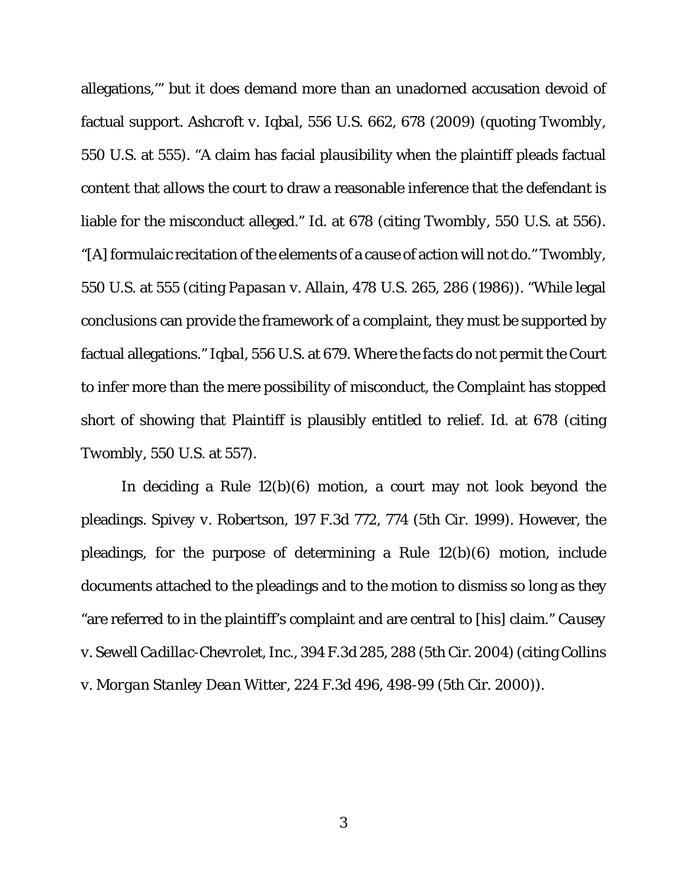allegations,'" but it does demand more than an unadorned accusation devoid of factual support. *Ashcroft v. Iqbal*, 556 U.S. 662, 678 (2009) (quoting *Twombly*, 550 U.S. at 555). "A claim has facial plausibility when the plaintiff pleads factual content that allows the court to draw a reasonable inference that the defendant is liable for the misconduct alleged." *Id.* at 678 (citing *Twombly*, 550 U.S. at 556). "[A] formulaic recitation of the elements of a cause of action will not do." *Twombly*, 550 U.S. at 555 (citing *Papasan v. Allain*, 478 U.S. 265, 286 (1986)). "While legal conclusions can provide the framework of a complaint, they must be supported by factual allegations." *Iqbal*, 556 U.S. at 679. Where the facts do not permit the Court to infer more than the mere possibility of misconduct, the Complaint has stopped short of showing that Plaintiff is plausibly entitled to relief. *Id*. at 678 (citing *Twombly*, 550 U.S. at 557).

In deciding a Rule 12(b)(6) motion, a court may not look beyond the pleadings. *Spivey v. Robertson*, 197 F.3d 772, 774 (5th Cir. 1999). However, the pleadings, for the purpose of determining a Rule 12(b)(6) motion, include documents attached to the pleadings and to the motion to dismiss so long as they "are referred to in the plaintiff's complaint and are central to [his] claim." *Causey v. Sewell Cadillac-Chevrolet, Inc.*, 394 F.3d 285, 288 (5th Cir. 2004) (citing *Collins v. Morgan Stanley Dean Witter*, 224 F.3d 496, 498-99 (5th Cir. 2000)).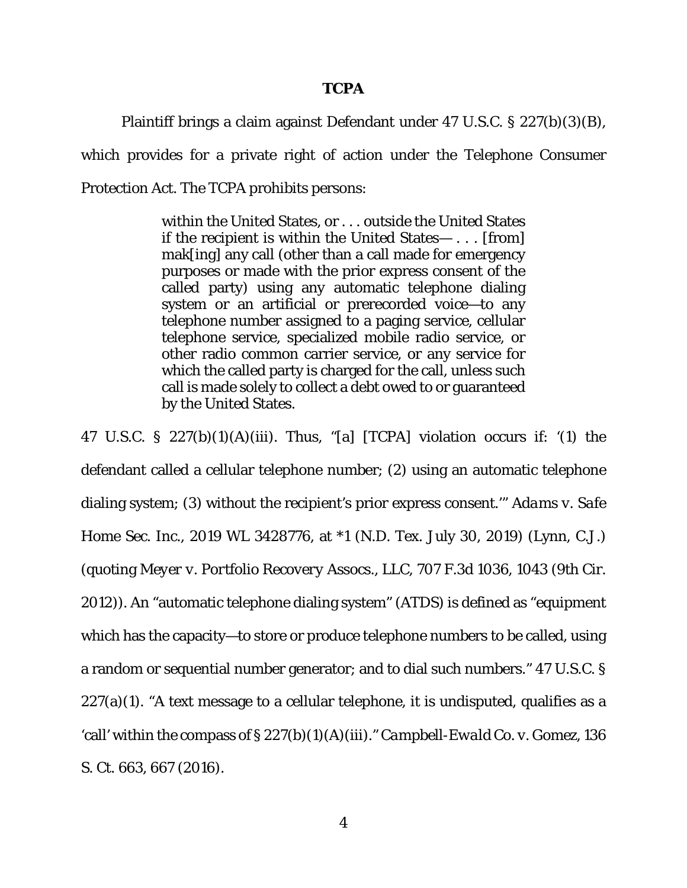#### **TCPA**

Plaintiff brings a claim against Defendant under 47 U.S.C. § 227(b)(3)(B),

which provides for a private right of action under the Telephone Consumer Protection Act. The TCPA prohibits persons:

> within the United States, or . . . outside the United States if the recipient is within the United States— . . . [from] mak[ing] any call (other than a call made for emergency purposes or made with the prior express consent of the called party) using any automatic telephone dialing system or an artificial or prerecorded voice—to any telephone number assigned to a paging service, cellular telephone service, specialized mobile radio service, or other radio common carrier service, or any service for which the called party is charged for the call, unless such call is made solely to collect a debt owed to or guaranteed by the United States.

47 U.S.C. §  $227(b)(1)(A)(iii)$ . Thus, "[a] [TCPA] violation occurs if: '(1) the defendant called a cellular telephone number; (2) using an automatic telephone dialing system; (3) without the recipient's prior express consent.'" *Adams v. Safe Home Sec. Inc*., 2019 WL 3428776, at \*1 (N.D. Tex. July 30, 2019) (Lynn, C.J.) (quoting *Meyer v. Portfolio Recovery Assocs., LLC*, 707 F.3d 1036, 1043 (9th Cir. 2012)). An "automatic telephone dialing system" (ATDS) is defined as "equipment which has the capacity—to store or produce telephone numbers to be called, using a random or sequential number generator; and to dial such numbers." 47 U.S.C. §  $227(a)(1)$ . "A text message to a cellular telephone, it is undisputed, qualifies as a 'call' within the compass of § 227(b)(1)(A)(iii)." *Campbell-Ewald Co. v. Gomez*, 136 S. Ct. 663, 667 (2016).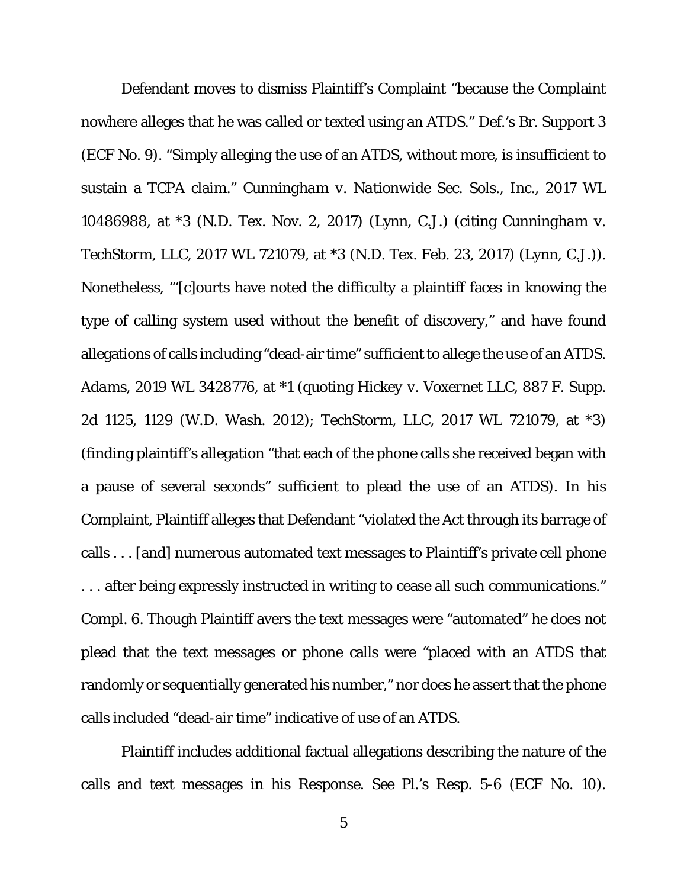Defendant moves to dismiss Plaintiff's Complaint "because the Complaint nowhere alleges that he was called or texted using an ATDS." Def.'s Br. Support 3 (ECF No. 9). "Simply alleging the use of an ATDS, without more, is insufficient to sustain a TCPA claim." *Cunningham v. Nationwide Sec. Sols., Inc.*, 2017 WL 10486988, at \*3 (N.D. Tex. Nov. 2, 2017) (Lynn, C.J.) (citing *Cunningham v. TechStorm, LLC*, 2017 WL 721079, at \*3 (N.D. Tex. Feb. 23, 2017) (Lynn, C.J.)). Nonetheless, "'[c]ourts have noted the difficulty a plaintiff faces in knowing the type of calling system used without the benefit of discovery," and have found allegations of calls including "dead-air time" sufficient to allege the use of an ATDS. *Adams*, 2019 WL 3428776, at \*1 (quoting *Hickey v. Voxernet LLC*, 887 F. Supp. 2d 1125, 1129 (W.D. Wash. 2012); *TechStorm, LLC*, 2017 WL 721079, at \*3) (finding plaintiff's allegation "that each of the phone calls she received began with a pause of several seconds" sufficient to plead the use of an ATDS). In his Complaint, Plaintiff alleges that Defendant "violated the Act through its barrage of calls . . . [and] numerous automated text messages to Plaintiff's private cell phone . . . after being expressly instructed in writing to cease all such communications." Compl. 6. Though Plaintiff avers the text messages were "automated" he does not plead that the text messages or phone calls were "placed with an ATDS that randomly or sequentially generated his number," nor does he assert that the phone calls included "dead-air time" indicative of use of an ATDS.

Plaintiff includes additional factual allegations describing the nature of the calls and text messages in his Response. *See* Pl.'s Resp. 5-6 (ECF No. 10).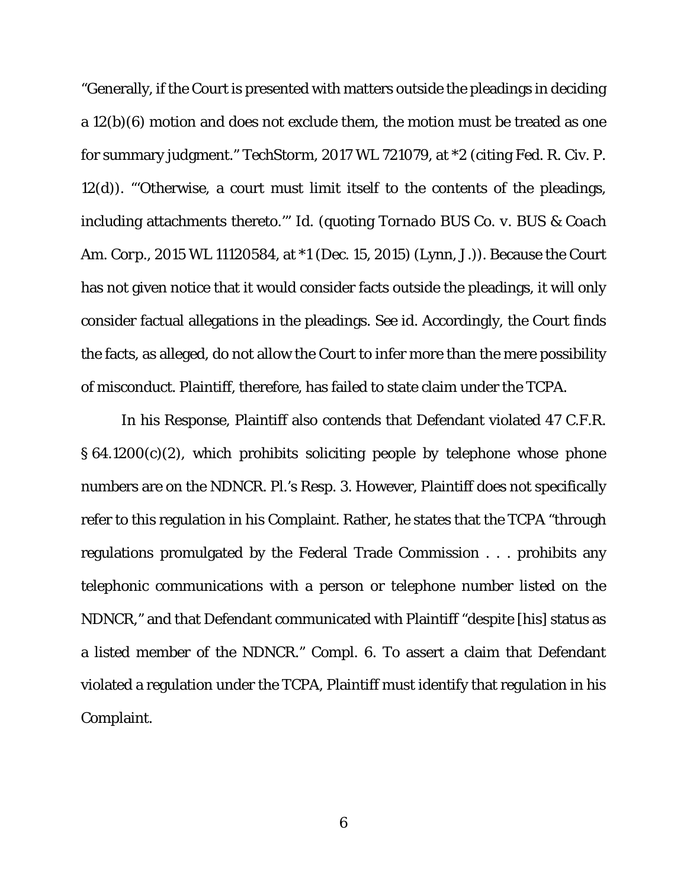"Generally, if the Court is presented with matters outside the pleadings in deciding a 12(b)(6) motion and does not exclude them, the motion must be treated as one for summary judgment." *TechStorm*, 2017 WL 721079, at \*2 (citing Fed. R. Civ. P. 12(d)). "'Otherwise, a court must limit itself to the contents of the pleadings, including attachments thereto.'" *Id*. (quoting *Tornado BUS Co. v. BUS & Coach Am. Corp.*, 2015 WL 11120584, at \*1 (Dec. 15, 2015) (Lynn, J.)). Because the Court has not given notice that it would consider facts outside the pleadings, it will only consider factual allegations in the pleadings. *See id*. Accordingly, the Court finds the facts, as alleged, do not allow the Court to infer more than the mere possibility of misconduct. Plaintiff, therefore, has failed to state claim under the TCPA.

In his Response, Plaintiff also contends that Defendant violated 47 C.F.R. § 64.1200(c)(2), which prohibits soliciting people by telephone whose phone numbers are on the NDNCR. Pl.'s Resp. 3. However, Plaintiff does not specifically refer to this regulation in his Complaint. Rather, he states that the TCPA "through regulations promulgated by the Federal Trade Commission . . . prohibits any telephonic communications with a person or telephone number listed on the NDNCR," and that Defendant communicated with Plaintiff "despite [his] status as a listed member of the NDNCR." Compl. 6. To assert a claim that Defendant violated a regulation under the TCPA, Plaintiff must identify that regulation in his Complaint.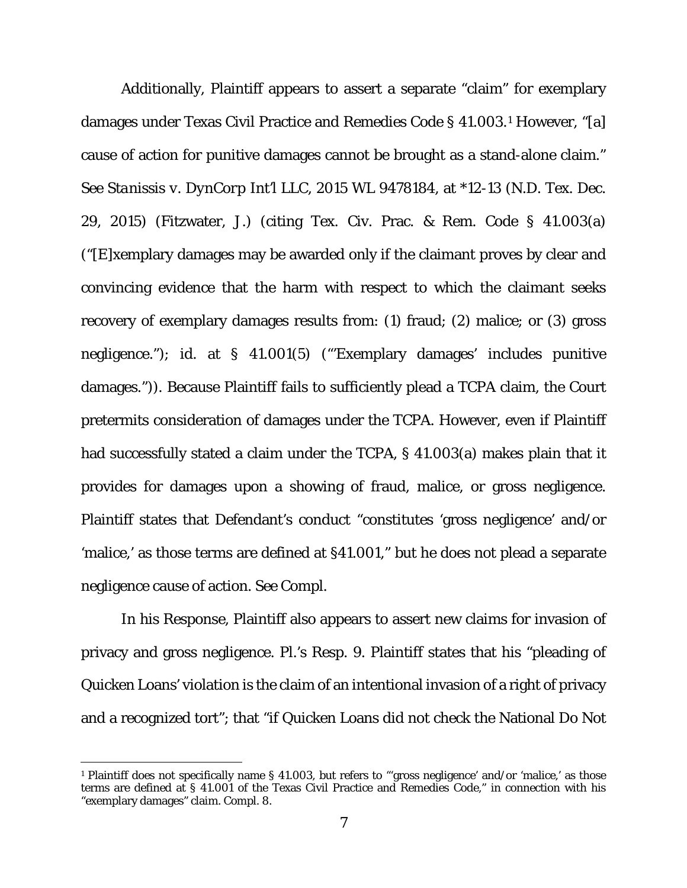Additionally, Plaintiff appears to assert a separate "claim" for exemplary damages under Texas Civil Practice and Remedies Code § 41.003.[1](#page-6-0) However, "[a] cause of action for punitive damages cannot be brought as a stand-alone claim." *See Stanissis v. DynCorp Int'l LLC*, 2015 WL 9478184, at \*12-13 (N.D. Tex. Dec. 29, 2015) (Fitzwater, J.) (citing Tex. Civ. Prac. & Rem. Code § 41.003(a) ("[E]xemplary damages may be awarded only if the claimant proves by clear and convincing evidence that the harm with respect to which the claimant seeks recovery of exemplary damages results from: (1) fraud; (2) malice; or (3) gross negligence."); *id.* at § 41.001(5) ("'Exemplary damages' includes punitive damages.")). Because Plaintiff fails to sufficiently plead a TCPA claim, the Court pretermits consideration of damages under the TCPA. However, even if Plaintiff had successfully stated a claim under the TCPA, § 41.003(a) makes plain that it provides for damages upon a showing of fraud, malice, or gross negligence. Plaintiff states that Defendant's conduct "constitutes 'gross negligence' and/or 'malice,' as those terms are defined at §41.001," but he does not plead a separate negligence cause of action. *See* Compl.

In his Response, Plaintiff also appears to assert new claims for invasion of privacy and gross negligence. Pl.'s Resp. 9. Plaintiff states that his "pleading of Quicken Loans' violation is the claim of an intentional invasion of a right of privacy and a recognized tort"; that "if Quicken Loans did not check the National Do Not

<span id="page-6-0"></span> <sup>1</sup> Plaintiff does not specifically name § 41.003, but refers to "'gross negligence' and/or 'malice,' as those terms are defined at § 41.001 of the Texas Civil Practice and Remedies Code," in connection with his "exemplary damages" claim. Compl. 8.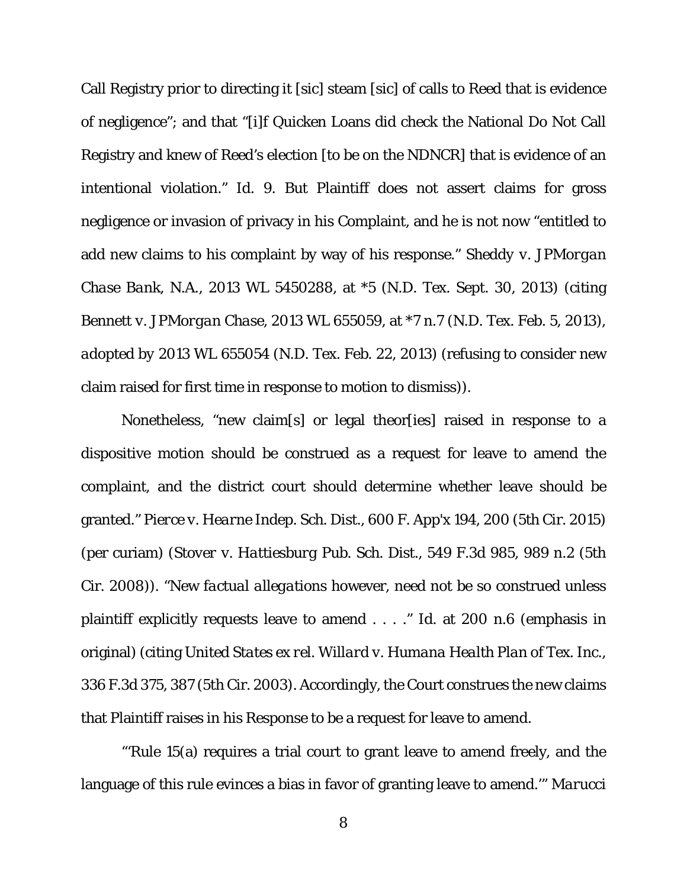Call Registry prior to directing it [sic] steam [sic] of calls to Reed that is evidence of negligence"; and that "[i]f Quicken Loans did check the National Do Not Call Registry and knew of Reed's election [to be on the NDNCR] that is evidence of an intentional violation." *Id*. 9. But Plaintiff does not assert claims for gross negligence or invasion of privacy in his Complaint, and he is not now "entitled to add new claims to his complaint by way of his response." *Sheddy v. JPMorgan Chase Bank, N.A*., 2013 WL 5450288, at \*5 (N.D. Tex. Sept. 30, 2013) (citing *Bennett v. JPMorgan Chase,* 2013 WL 655059, at \*7 n.7 (N.D. Tex. Feb. 5, 2013), *adopted by* 2013 WL 655054 (N.D. Tex. Feb. 22, 2013) (refusing to consider new claim raised for first time in response to motion to dismiss)).

Nonetheless, "new claim[s] or legal theor[ies] raised in response to a dispositive motion should be construed as a request for leave to amend the complaint, and the district court should determine whether leave should be granted." *Pierce v. Hearne Indep. Sch. Dist.*, 600 F. App'x 194, 200 (5th Cir. 2015) (per curiam) (*Stover v. Hattiesburg Pub. Sch. Dist.,* 549 F.3d 985, 989 n.2 (5th Cir. 2008)). "New *factual allegations* however, need not be so construed unless plaintiff explicitly requests leave to amend . . . ." *Id*. at 200 n.6 (emphasis in original) (citing *United States ex rel. Willard v. Humana Health Plan of Tex. Inc.,* 336 F.3d 375, 387 (5th Cir. 2003). Accordingly, the Court construes the new claims that Plaintiff raises in his Response to be a request for leave to amend.

"'Rule 15(a) requires a trial court to grant leave to amend freely, and the language of this rule evinces a bias in favor of granting leave to amend.'" *Marucci*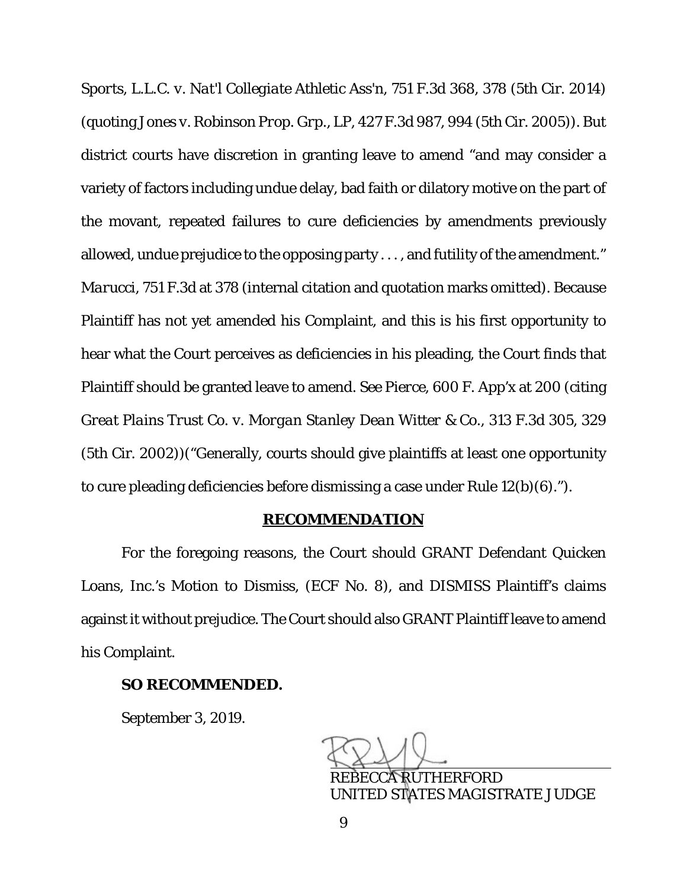*Sports, L.L.C. v. Nat'l Collegiate Athletic Ass'n*, 751 F.3d 368, 378 (5th Cir. 2014) (quoting *Jones v. Robinson Prop. Grp., LP,* 427 F.3d 987, 994 (5th Cir. 2005)). But district courts have discretion in granting leave to amend "and may consider a variety of factors including undue delay, bad faith or dilatory motive on the part of the movant, repeated failures to cure deficiencies by amendments previously allowed, undue prejudice to the opposing party . . . , and futility of the amendment." *Marucci*, 751 F.3d at 378 (internal citation and quotation marks omitted). Because Plaintiff has not yet amended his Complaint, and this is his first opportunity to hear what the Court perceives as deficiencies in his pleading, the Court finds that Plaintiff should be granted leave to amend. *See Pierce*, 600 F. App'x at 200 (citing *Great Plains Trust Co. v. Morgan Stanley Dean Witter & Co.,* 313 F.3d 305, 329 (5th Cir. 2002))("Generally, courts should give plaintiffs at least one opportunity to cure pleading deficiencies before dismissing a case under Rule 12(b)(6).").

#### **RECOMMENDATION**

For the foregoing reasons, the Court should GRANT Defendant Quicken Loans, Inc.'s Motion to Dismiss, (ECF No. 8), and DISMISS Plaintiff's claims against it without prejudice. The Court should also GRANT Plaintiff leave to amend his Complaint.

### **SO RECOMMENDED.**

September 3, 2019.

ׇ֚֚֚֡ REBECCA RUTHERFORD

UNITED STATES MAGISTRATE JUDGE